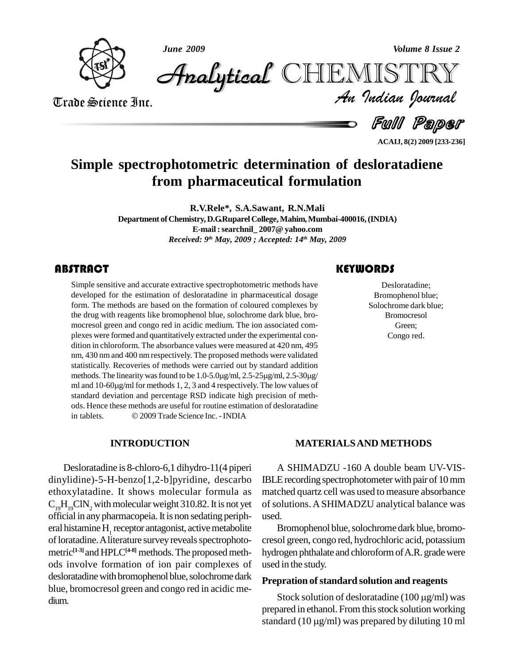

*June 2009 Volume 8 Issue 2*

*Volume 8 Issue 2*<br>IISTRY<br>Indian Iournal CHEMISTRY

Trade Science Inc. Trade Science Inc.

Ful Paper

**ACAIJ, 8(2) 2009 [233-236]**

# **Simple spectrophotometric determination of desloratadiene from pharmaceutical formulation**

**R.V.Rele\*, S.A.Sawant, R.N.Mali Department ofChemistry, D.G.RuparelCollege,Mahim,Mumbai-400016,(INDIA) E-mail :searchnil\_ 2007@ yahoo.com** *Received: 9 th May, 2009 ; Accepted: 14 th May, 2009*

# **ABSTRACT**

Simple sensitive and acc<br>developed for the estim<br>form. The methods are b Simple sensitive and accurate extractive spectrophotometric methods have developed for the estimation of desloratadine in pharmaceutical dosage form. The methods are based on the formation of coloured complexes by the drug with reagents like bromophenol blue, solochrome dark blue, bro mocresol green and congo red in acidic medium. The ion associated com plexes were formed and quantitatively extracted under the experimental con dition in chloroform. The absorbance values were measured at 420 nm, 495 nm, 430 nm and 400 nm respectively. The proposed methods were validated statistically. Recoveries of methods were carried out by standard addition methods. The linearity was found to be 1.0-5.0µg/ml, 2.5-25µg/ml, 2.5-30µg/ statistically. Recoveries of methods were carried out by standard addition methods. The linearity was found to be 1.0-5.0µg/ml, 2.5-25µg/ml, 2.5-30µg/<br>ml and 10-60µg/ml for methods 1, 2, 3 and 4 respectively. The low values of standard deviation and percentage RSD indicate high precision of meth-<br>ods. Hence these methods are useful for routine estimation of desloratadine<br>in tablets.  $\circ$  2009 Trade Science Inc. - INDIA ods. Hence these methods are useful for routine estimation of desloratadine

# **INTRODUCTION**

Desloratadine is 8-chloro-6,1 dihydro-11(4 piperi dinylidine)-5-H-benzo[1,2-b]pyridine, descarbo ethoxylatadine. It shows molecular formula as  $C_{10}H_{10}C1N_2$  with molecular weight 310.82. It is not yet official in any pharmacopeia. It is non sedating periph- used. eral histamine H<sub>1</sub> receptor antagonist, active metabolite of loratadine. A literature survey reveals spectrophotometric<sup>[1-3]</sup> and HPLC<sup>[4-8]</sup> methods. The proposed meth- hyd ods involve formation of ion pair complexes of desloratadine with bromophenol blue, solochrome dark blue, bromocresol green and congo red in acidic me dium.

## **KEYWORDS**

Desloratadine;<br>Bromophenol blue;<br>Solochrome dark blue; Desloratadine; Bromophenol blue; **Bromocresol** Green; Congo red.

### **MATERIALSAND METHODS**

A SHIMADZU -160 A double beam UV-VIS-IBLE recording spectrophotometer with pair of 10 mm matched quartz cell was used to measure absorbance of solutions.ASHIMADZU analytical balance was

Bromophenol blue, solochrome dark blue, bromocresol green, congo red, hydrochloric acid, potassium hydrogen phthalate and chloroform of A.R. grade were used in the study.

#### **Prepration of standard solution and reagents**

Stock solution of desloratadine  $(100 \mu g/ml)$  was prepared in ethanol. From this stock solution working Stock solution of desloratadine (100  $\mu$ g/ml) was<br>prepared in ethanol. From this stock solution working<br>standard (10  $\mu$ g/ml) was prepared by diluting 10 ml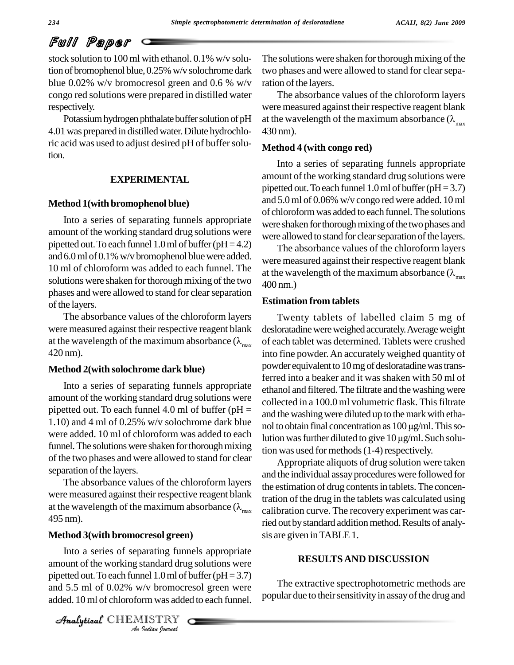# Full Paper

stock solution to 100 ml with ethanol. 0.1% w/v solution of bromophenol blue, 0.25% w/v solochrome dark blue 0.02% w/v bromocresol green and 0.6 % w/v congo red solutions were prepared in distilled water respectively.

Potassium hydrogen phthalate buffer solution of pH 4.01was prepared in distilledwater.Dilute hydrochloric acid was used to adjust desired pH of buffer solution.

#### **EXPERIMENTAL**

#### **Method 1(with bromophenol blue)**

Into a series of separating funnels appropriate amount of the working standard drug solutions were pipetted out. To each funnel 1.0 ml of buffer ( $pH = 4.2$ ) and  $6.0$  ml of  $0.1\%$  w/v bromophenol blue were added. 10 ml of chloroform was added to each funnel. The solutions were shaken for thorough mixing of the two  $400 \text{ nm}$ . phases and were allowed to stand for clear separation of the layers.

The absorbance values of the chloroform layers were measured against their respective reagent blank at the wavelength of the maximum absorbance  $(\lambda_{\text{max}} 420 \text{ nm})$ .

#### **Method 2(with solochrome dark blue)**

Into a series of separating funnels appropriate amount of the working standard drug solutions were pipetted out. To each funnel 4.0 ml of buffer ( $pH =$ 1.10) and 4 ml of 0.25% w/v solochrome dark blue were added. 10 ml of chloroform was added to each<br>lution was further diluted to give 10 µg/ml. Such solufunnel. The solutions were shaken for thorough mixing of the two phases and were allowed to stand for clear separation of the layers.

The absorbance values of the chloroform layers were measured against their respective reagent blank at the wavelength of the maximum absorbance  $(\lambda_{\text{max}} 495 \text{ nm})$ .

#### **Method 3(with bromocresol green)**

amount of the working standard drug solutions were *I*<br>Indian *I*<br>*I*<br>*I*<br>*IISTRY*<br>*IISTRY*<br>*I* Into a series of separating funnels appropriate pipetted out. To each funnel 1.0 ml of buffer ( $pH = 3.7$ ) and 5.5 ml of 0.02% w/v bromocresol green were added. 10 ml of chloroform was added to each funnel.

CHEMISTRY COMMENT

The solutions were shaken for thorough mixing of the two phases and were allowed to stand for clear separation of the layers.

The absorbance values of the chloroform layers were measured against their respective reagent blank at the wavelength of the maximum absorbance  $(\lambda_{\text{max}} 430 \text{ nm})$ .

#### **Method 4 (with congo red)**

Into a series of separating funnels appropriate amount of the working standard drug solutions were pipetted out. To each funnel  $1.0$  ml of buffer (pH = 3.7) and 5.0ml of 0.06% w/v congo red were added. 10 ml of chloroformwas added to each funnel.The solutions were shaken for thorough mixing of the two phases and were allowed to stand for clear separation of the layers.

The absorbance values of the chloroform layers were measured against their respective reagent blank at the wavelength of the maximum absorbance  $(\lambda_{\text{max}})$ 

#### **Estimation from tablets**

Twenty tablets of labelled claim 5 mg of desloratadine were weighed accurately. Average weight of each tablet was determined. Tablets were crushed into fine powder.An accurately weighed quantity of powder equivalent to 10 mg of desloratadine was transferred into a beaker and it was shaken with 50 ml of ethanol and filtered. The filtrate and the washing were collected in a 100.0 ml volumetric flask. This filtrate<br>and the washing were diluted up to the mark with etha-<br>nol to obtain final concentration as 100 µg/ml. This soand the washing were diluted up to the mark with ethanol to obtain final concentration as  $100 \mu g/ml$ . This sotion was used for methods  $(1-4)$  respectively.

Appropriate aliquots of drug solution were taken and the individual assay procedures were followed for the estimation of drug contents in tablets. The concentration of the drug in the tablets was calculated using calibration curve. The recovery experiment was carried out by standard addition method. Results of analysis are given inTABLE 1.

#### **RESULTSAND DISCUSSION**

The extractive spectrophotometric methods are popular due to their sensitivity in assay of the drug and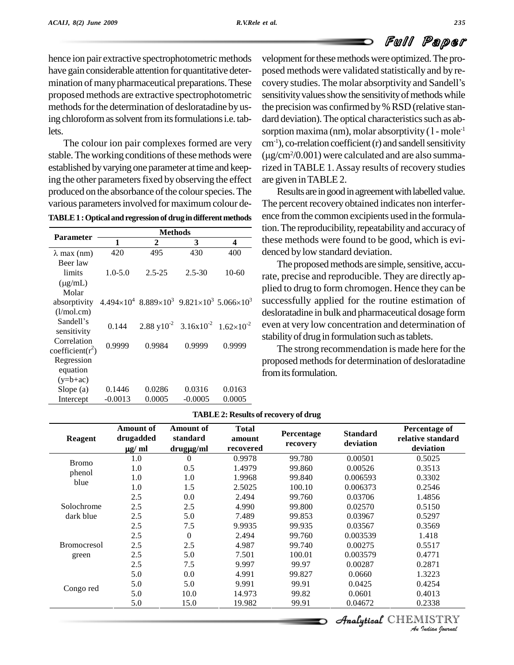# Full Paper

hence ion pair extractive spectrophotometric methods mination of many pharmaceutical preparations. These proposed methods are extractive spectrophotometric methods for the determination of desloratadine by using chloroform as solvent from its formulations i.e. tablets.<br>The colour ion pair complexes formed are very

stable. The working conditions of these methods were established by varying one parameter at time and keeping the other parameters fixed by observing the effect produced on the absorbance of the colour species. The various parameters involved for maximum colour de-

TABLE 1 : Optical and regression of drug in different methods

| <b>Parameter</b>     | <b>Methods</b> |                                                                                 |                                                                      |           |  |  |
|----------------------|----------------|---------------------------------------------------------------------------------|----------------------------------------------------------------------|-----------|--|--|
|                      | 1              | 2                                                                               | 3                                                                    | 4         |  |  |
| $\lambda$ max (nm)   | 420            | 495                                                                             | 430                                                                  | 400       |  |  |
| Beer law             |                |                                                                                 |                                                                      |           |  |  |
| limits               | $1.0 - 5.0$    | $2.5 - 25$                                                                      | $2.5 - 30$                                                           | $10 - 60$ |  |  |
| $(\mu g/mL)$         |                |                                                                                 |                                                                      |           |  |  |
| Molar                |                |                                                                                 |                                                                      |           |  |  |
| absorptivity         |                | $4.494\times10^{4}$ $8.889\times10^{3}$ $9.821\times10^{3}$ $5.066\times10^{3}$ |                                                                      |           |  |  |
| (l/mol.cm)           |                |                                                                                 |                                                                      |           |  |  |
| Sandell's            | 0.144          |                                                                                 | $2.88 \text{ y}10^{-2}$ $3.16 \text{x}10^{-2}$ $1.62 \times 10^{-2}$ |           |  |  |
| sensitivity          |                |                                                                                 |                                                                      |           |  |  |
| Correlation          | 0.9999         | 0.9984                                                                          | 0.9999                                                               | 0.9999    |  |  |
| coefficient( $r^2$ ) |                |                                                                                 |                                                                      |           |  |  |
| Regression           |                |                                                                                 |                                                                      |           |  |  |
| equation             |                |                                                                                 |                                                                      |           |  |  |
| $(y=b+ac)$           |                |                                                                                 |                                                                      |           |  |  |
| Slope $(a)$          | 0.1446         | 0.0286                                                                          | 0.0316                                                               | 0.0163    |  |  |
| Intercept            | $-0.0013$      | 0.0005                                                                          | $-0.0005$                                                            | 0.0005    |  |  |

have gain considerable attention for quantitative deter-<br>posed methods were validated statistically and by revelopment for these methods were optimized. The procovery studies. The molar absorptivity and Sandell's sensitivity values show the sensitivity of methods while the precision was confirmed by% RSD (relative stan dard deviation). The optical characteristics such as absorption maxima (nm), molar absorptivity ( l - mole<sup>-1</sup><br>cm<sup>-1</sup>), co-rrelation coefficient (r) and sandell sensitivity<br>(µg/cm<sup>2</sup>/0.001) were calculated and are also summa $cm<sup>-1</sup>$ ), co-rrelation coefficient (r) and sandell sensitivity  $(\mu$ g/cm<sup>2</sup>/0.001) were calculated and are also summarized in TABLE 1.Assay results of recovery studies are given inTABLE 2.

> Results are in good in agreement with labelled value. The percent recovery obtained indicates non interfer ence fromthe common excipients used in the formulation. The reproducibility, repeatability and accuracy of these methods were found to be good, which is evi denced bylow standard deviation.

The proposed methods are simple, sensitive, accurate, precise and reproducible. They are directly ap plied to drug to form chromogen. Hence they can be<br>  $35.066 \times 10^3$  successfully applied for the routine estimation of <sup>3</sup> successfully applied for the routine estimation of desloratadine in bulk and pharmaceutical dosage form even at very low concentration and determination of -2 stabilityof drug in formulation such astablets.

> The strong recommendation is made here for the proposed methods for determination of desloratadine from its formulation.

| <b>Reagent</b>                 | Amount of<br>drugadded<br>$\mu$ g/ ml | Amount of<br>standard<br>drugµg/ml | <b>Total</b><br>amount<br>recovered | Percentage<br>recovery | <b>Standard</b><br>deviation | Percentage of<br>relative standard<br>deviation |
|--------------------------------|---------------------------------------|------------------------------------|-------------------------------------|------------------------|------------------------------|-------------------------------------------------|
| <b>Bromo</b><br>phenol<br>blue | 1.0                                   | $\Omega$                           | 0.9978                              | 99.780                 | 0.00501                      | 0.5025                                          |
|                                | 1.0                                   | 0.5                                | 1.4979                              | 99.860                 | 0.00526                      | 0.3513                                          |
|                                | 1.0                                   | 1.0                                | 1.9968                              | 99.840                 | 0.006593                     | 0.3302                                          |
|                                | 1.0                                   | 1.5                                | 2.5025                              | 100.10                 | 0.006373                     | 0.2546                                          |
|                                | 2.5                                   | 0.0                                | 2.494                               | 99.760                 | 0.03706                      | 1.4856                                          |
| Solochrome<br>dark blue        | 2.5                                   | 2.5                                | 4.990                               | 99.800                 | 0.02570                      | 0.5150                                          |
|                                | 2.5                                   | 5.0                                | 7.489                               | 99.853                 | 0.03967                      | 0.5297                                          |
|                                | 2.5                                   | 7.5                                | 9.9935                              | 99.935                 | 0.03567                      | 0.3569                                          |
|                                | 2.5                                   | $\theta$                           | 2.494                               | 99.760                 | 0.003539                     | 1.418                                           |
| <b>Bromocresol</b><br>green    | 2.5                                   | 2.5                                | 4.987                               | 99.740                 | 0.00275                      | 0.5517                                          |
|                                | 2.5                                   | 5.0                                | 7.501                               | 100.01                 | 0.003579                     | 0.4771                                          |
|                                | 2.5                                   | 7.5                                | 9.997                               | 99.97                  | 0.00287                      | 0.2871                                          |
| Congo red                      | 5.0                                   | 0.0                                | 4.991                               | 99.827                 | 0.0660                       | 1.3223                                          |
|                                | 5.0                                   | 5.0                                | 9.991                               | 99.91                  | 0.0425                       | 0.4254                                          |
|                                | 5.0                                   | 10.0                               | 14.973                              | 99.82                  | 0.0601                       | 0.4013                                          |
|                                | 5.0                                   | 15.0                               | 19.982                              | 99.91                  | 0.04672                      | 0.2338                                          |

#### **TABLE2: Results of recovery of drug**

**Analytical** CHEMISTRY